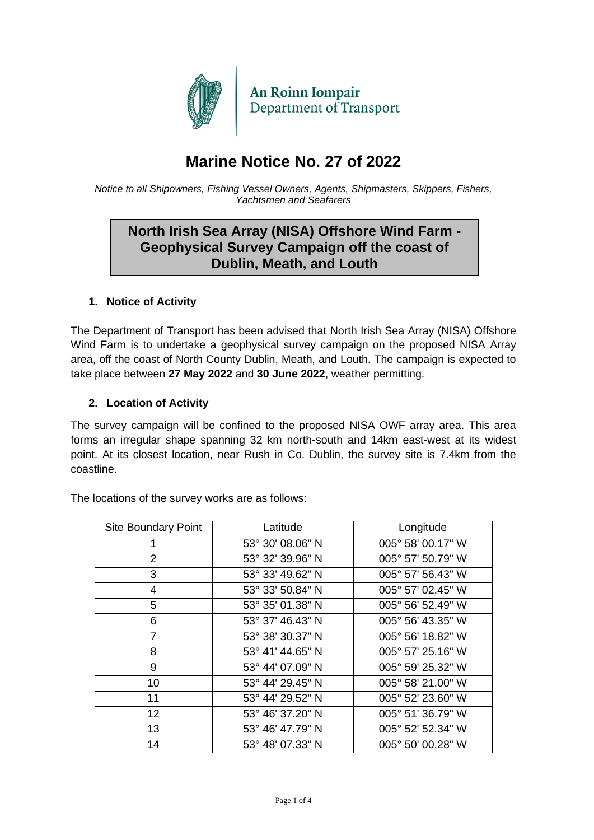

# **Marine Notice No. 27 of 2022**

*Notice to all Shipowners, Fishing Vessel Owners, Agents, Shipmasters, Skippers, Fishers, Yachtsmen and Seafarers*

## **North Irish Sea Array (NISA) Offshore Wind Farm - Geophysical Survey Campaign off the coast of Dublin, Meath, and Louth**

#### **1. Notice of Activity**

The Department of Transport has been advised that North Irish Sea Array (NISA) Offshore Wind Farm is to undertake a geophysical survey campaign on the proposed NISA Array area, off the coast of North County Dublin, Meath, and Louth. The campaign is expected to take place between **27 May 2022** and **30 June 2022**, weather permitting.

#### **2. Location of Activity**

The survey campaign will be confined to the proposed NISA OWF array area. This area forms an irregular shape spanning 32 km north-south and 14km east-west at its widest point. At its closest location, near Rush in Co. Dublin, the survey site is 7.4km from the coastline.

| <b>Site Boundary Point</b> | Latitude         | Longitude         |
|----------------------------|------------------|-------------------|
|                            | 53° 30' 08.06" N | 005° 58' 00.17" W |
| $\overline{2}$             | 53° 32' 39.96" N | 005° 57' 50.79" W |
| 3                          | 53° 33' 49.62" N | 005° 57' 56.43" W |
| 4                          | 53° 33′ 50.84" N | 005° 57' 02.45" W |
| 5                          | 53° 35' 01.38" N | 005° 56' 52.49" W |
| 6                          | 53° 37' 46.43" N | 005° 56' 43.35" W |
| $\overline{7}$             | 53° 38' 30.37" N | 005° 56' 18.82" W |
| 8                          | 53° 41' 44.65" N | 005° 57' 25.16" W |
| 9                          | 53° 44' 07.09" N | 005° 59' 25.32" W |
| 10                         | 53° 44' 29.45" N | 005° 58' 21.00" W |
| 11                         | 53° 44' 29.52" N | 005° 52' 23.60" W |
| 12 <sup>2</sup>            | 53° 46' 37.20" N | 005° 51' 36.79" W |
| 13                         | 53° 46' 47.79" N | 005° 52' 52.34" W |
| 14                         | 53° 48' 07.33" N | 005° 50' 00.28" W |

The locations of the survey works are as follows: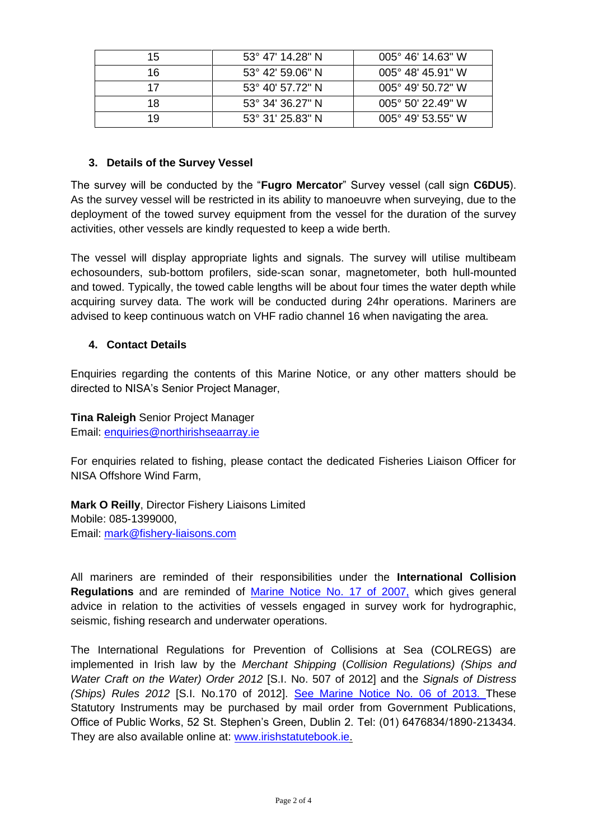| 15 | $53^{\circ}$ 47' 14.28" N | $005^{\circ}$ 46' 14.63" W |
|----|---------------------------|----------------------------|
| 16 | $53^{\circ}$ 42' 59.06" N | $005^{\circ}$ 48' 45.91" W |
| 17 | 53° 40′ 57.72″ N          | $005^{\circ}$ 49' 50.72" W |
| 18 | 53° 34′ 36.27″ N          | $005^{\circ}$ 50' 22.49" W |
| 19 | 53° 31′ 25.83″ N          | $005^{\circ}$ 49' 53.55" W |

#### **3. Details of the Survey Vessel**

The survey will be conducted by the "**Fugro Mercator**" Survey vessel (call sign **C6DU5**). As the survey vessel will be restricted in its ability to manoeuvre when surveying, due to the deployment of the towed survey equipment from the vessel for the duration of the survey activities, other vessels are kindly requested to keep a wide berth.

The vessel will display appropriate lights and signals. The survey will utilise multibeam echosounders, sub-bottom profilers, side-scan sonar, magnetometer, both hull-mounted and towed. Typically, the towed cable lengths will be about four times the water depth while acquiring survey data. The work will be conducted during 24hr operations. Mariners are advised to keep continuous watch on VHF radio channel 16 when navigating the area.

#### **4. Contact Details**

Enquiries regarding the contents of this Marine Notice, or any other matters should be directed to NISA's Senior Project Manager,

**Tina Raleigh** Senior Project Manager Email: [enquiries@northirishseaarray.ie](mailto:enquiries@northirishseaarray.ie)

For enquiries related to fishing, please contact the dedicated Fisheries Liaison Officer for NISA Offshore Wind Farm,

**Mark O Reilly**, Director Fishery Liaisons Limited Mobile: 085-1399000, Email: [mark@fishery-liaisons.com](mailto:mark@fishery-liaisons.com)

All mariners are reminded of their responsibilities under the **International Collision Regulations** and are reminded of [Marine Notice No. 17 of 2007,](https://www.gov.ie/pdf/?file=https://assets.gov.ie/22187/255848a3288444cf8218b192892901b2.pdf#page=1) which gives general advice in relation to the activities of vessels engaged in survey work for hydrographic, seismic, fishing research and underwater operations.

The International Regulations for Prevention of Collisions at Sea (COLREGS) are implemented in Irish law by the *Merchant Shipping* (*Collision Regulations) (Ships and Water Craft on the Water) Order 2012* [S.I. No. 507 of 2012] and the *Signals of Distress (Ships) Rules 2012* [S.I. No.170 of 2012]. [See Marine Notice No. 06 of 2013. T](https://www.gov.ie/pdf/?file=https://assets.gov.ie/199830/aa78b329-e197-4fff-bdb4-de2fae17c30f.pdf#page=null)hese Statutory Instruments may be purchased by mail order from Government Publications, Office of Public Works, 52 St. Stephen's Green, Dublin 2. Tel: (01) 6476834/1890-213434. They are also available online at: [www.irishstatutebook.ie.](http://www.irishstatutebook.ie/)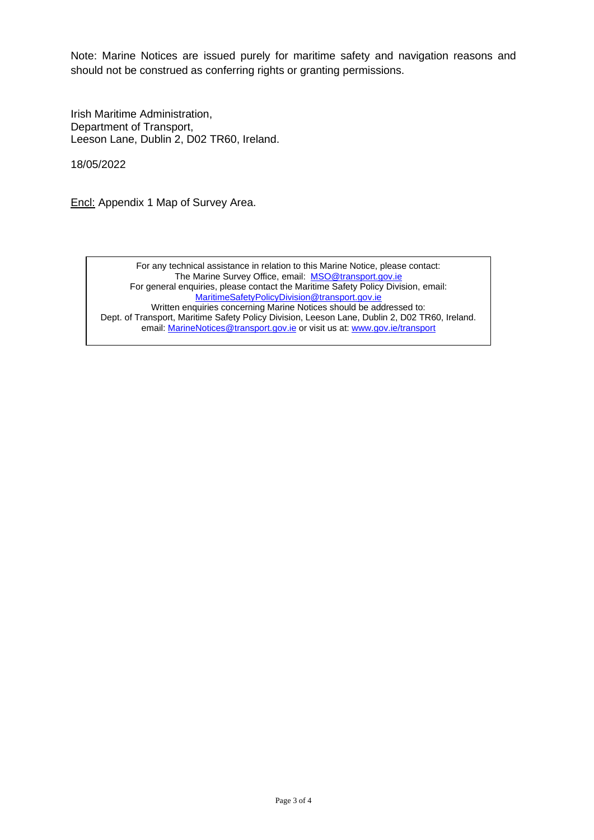Note: Marine Notices are issued purely for maritime safety and navigation reasons and should not be construed as conferring rights or granting permissions.

Irish Maritime Administration, Department of Transport, Leeson Lane, Dublin 2, D02 TR60, Ireland.

18/05/2022

Encl: Appendix 1 Map of Survey Area.

For any technical assistance in relation to this Marine Notice, please contact: The Marine Survey Office, email: [MSO@transport.gov.ie](mailto:MSO@transport.gov.ie) For general enquiries, please contact the Maritime Safety Policy Division, email: [MaritimeSafetyPolicyDivision@transport.gov.ie](mailto:MaritimeSafetyPolicyDivision@transport.gov.ie) Written enquiries concerning Marine Notices should be addressed to: Dept. of Transport, Maritime Safety Policy Division, Leeson Lane, Dublin 2, D02 TR60, Ireland. email: [MarineNotices@transport.gov.ie](mailto:MarineNotices@transport.gov.ie) or visit us at[: www.gov.ie/transport](http://www.gov.ie/transport)